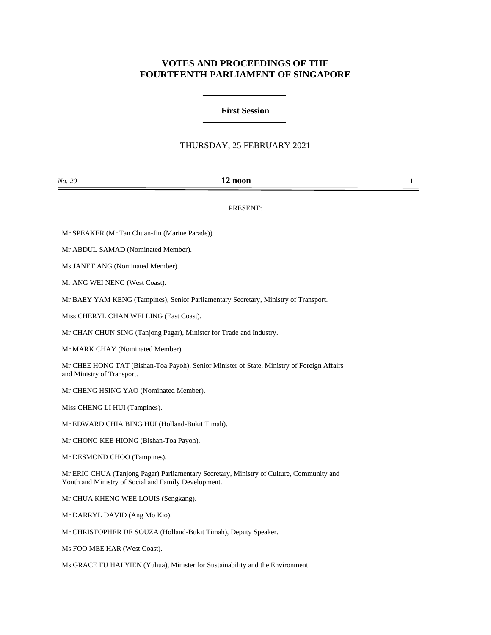## **VOTES AND PROCEEDINGS OF THE FOURTEENTH PARLIAMENT OF SINGAPORE**

## **First Session**

## THURSDAY, 25 FEBRUARY 2021

| No. 20 | 12 noon |  |
|--------|---------|--|
|        |         |  |

PRESENT:

Mr SPEAKER (Mr Tan Chuan-Jin (Marine Parade)).

Mr ABDUL SAMAD (Nominated Member).

Ms JANET ANG (Nominated Member).

Mr ANG WEI NENG (West Coast).

Mr BAEY YAM KENG (Tampines), Senior Parliamentary Secretary, Ministry of Transport.

Miss CHERYL CHAN WEI LING (East Coast).

Mr CHAN CHUN SING (Tanjong Pagar), Minister for Trade and Industry.

Mr MARK CHAY (Nominated Member).

Mr CHEE HONG TAT (Bishan-Toa Payoh), Senior Minister of State, Ministry of Foreign Affairs and Ministry of Transport.

Mr CHENG HSING YAO (Nominated Member).

Miss CHENG LI HUI (Tampines).

Mr EDWARD CHIA BING HUI (Holland-Bukit Timah).

Mr CHONG KEE HIONG (Bishan-Toa Payoh).

Mr DESMOND CHOO (Tampines).

Mr ERIC CHUA (Tanjong Pagar) Parliamentary Secretary, Ministry of Culture, Community and Youth and Ministry of Social and Family Development.

Mr CHUA KHENG WEE LOUIS (Sengkang).

Mr DARRYL DAVID (Ang Mo Kio).

Mr CHRISTOPHER DE SOUZA (Holland-Bukit Timah), Deputy Speaker.

Ms FOO MEE HAR (West Coast).

Ms GRACE FU HAI YIEN (Yuhua), Minister for Sustainability and the Environment.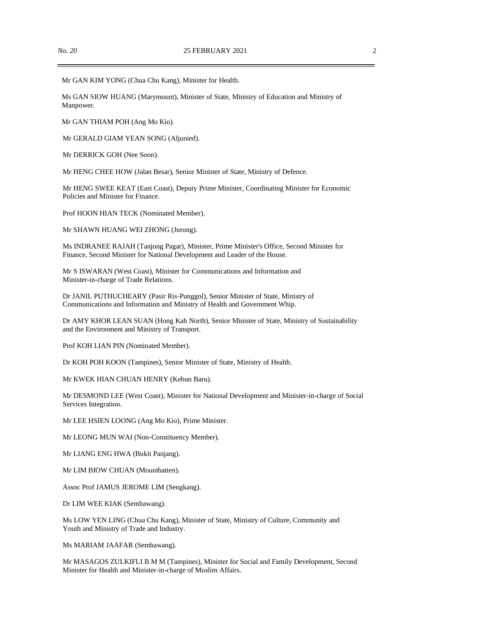Mr GAN KIM YONG (Chua Chu Kang), Minister for Health.

Ms GAN SIOW HUANG (Marymount), Minister of State, Ministry of Education and Ministry of Manpower.

Mr GAN THIAM POH (Ang Mo Kio).

Mr GERALD GIAM YEAN SONG (Aljunied).

Mr DERRICK GOH (Nee Soon).

Mr HENG CHEE HOW (Jalan Besar), Senior Minister of State, Ministry of Defence.

Mr HENG SWEE KEAT (East Coast), Deputy Prime Minister, Coordinating Minister for Economic Policies and Minister for Finance.

Prof HOON HIAN TECK (Nominated Member).

Mr SHAWN HUANG WEI ZHONG (Jurong).

Ms INDRANEE RAJAH (Tanjong Pagar), Minister, Prime Minister's Office, Second Minister for Finance, Second Minister for National Development and Leader of the House.

Mr S ISWARAN (West Coast), Minister for Communications and Information and Minister-in-charge of Trade Relations.

Dr JANIL PUTHUCHEARY (Pasir Ris-Punggol), Senior Minister of State, Ministry of Communications and Information and Ministry of Health and Government Whip.

Dr AMY KHOR LEAN SUAN (Hong Kah North), Senior Minister of State, Ministry of Sustainability and the Environment and Ministry of Transport.

Prof KOH LIAN PIN (Nominated Member).

Dr KOH POH KOON (Tampines), Senior Minister of State, Ministry of Health.

Mr KWEK HIAN CHUAN HENRY (Kebun Baru).

Mr DESMOND LEE (West Coast), Minister for National Development and Minister-in-charge of Social Services Integration.

Mr LEE HSIEN LOONG (Ang Mo Kio), Prime Minister.

Mr LEONG MUN WAI (Non-Constituency Member).

Mr LIANG ENG HWA (Bukit Panjang).

Mr LIM BIOW CHUAN (Mountbatten).

Assoc Prof JAMUS JEROME LIM (Sengkang).

Dr LIM WEE KIAK (Sembawang).

Ms LOW YEN LING (Chua Chu Kang), Minister of State, Ministry of Culture, Community and Youth and Ministry of Trade and Industry.

Ms MARIAM JAAFAR (Sembawang).

Mr MASAGOS ZULKIFLI B M M (Tampines), Minister for Social and Family Development, Second Minister for Health and Minister-in-charge of Muslim Affairs.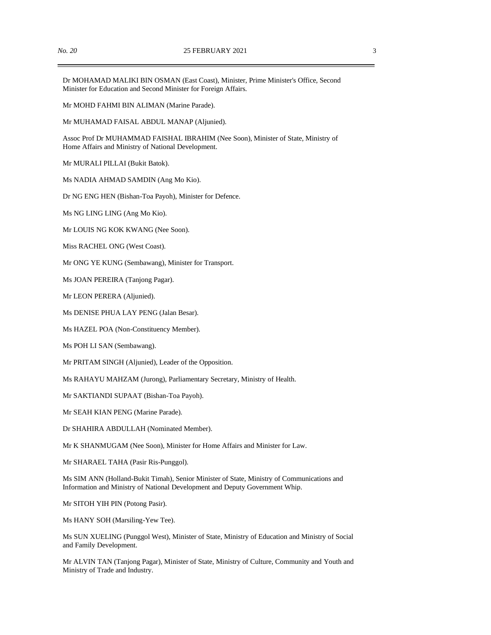Dr MOHAMAD MALIKI BIN OSMAN (East Coast), Minister, Prime Minister's Office, Second Minister for Education and Second Minister for Foreign Affairs.

Mr MOHD FAHMI BIN ALIMAN (Marine Parade).

Mr MUHAMAD FAISAL ABDUL MANAP (Aljunied).

Assoc Prof Dr MUHAMMAD FAISHAL IBRAHIM (Nee Soon), Minister of State, Ministry of Home Affairs and Ministry of National Development.

Mr MURALI PILLAI (Bukit Batok).

Ms NADIA AHMAD SAMDIN (Ang Mo Kio).

Dr NG ENG HEN (Bishan-Toa Payoh), Minister for Defence.

Ms NG LING LING (Ang Mo Kio).

Mr LOUIS NG KOK KWANG (Nee Soon).

Miss RACHEL ONG (West Coast).

Mr ONG YE KUNG (Sembawang), Minister for Transport.

Ms JOAN PEREIRA (Tanjong Pagar).

Mr LEON PERERA (Aljunied).

Ms DENISE PHUA LAY PENG (Jalan Besar).

Ms HAZEL POA (Non-Constituency Member).

Ms POH LI SAN (Sembawang).

Mr PRITAM SINGH (Aljunied), Leader of the Opposition.

Ms RAHAYU MAHZAM (Jurong), Parliamentary Secretary, Ministry of Health.

Mr SAKTIANDI SUPAAT (Bishan-Toa Payoh).

Mr SEAH KIAN PENG (Marine Parade).

Dr SHAHIRA ABDULLAH (Nominated Member).

Mr K SHANMUGAM (Nee Soon), Minister for Home Affairs and Minister for Law.

Mr SHARAEL TAHA (Pasir Ris-Punggol).

Ms SIM ANN (Holland-Bukit Timah), Senior Minister of State, Ministry of Communications and Information and Ministry of National Development and Deputy Government Whip.

Mr SITOH YIH PIN (Potong Pasir).

Ms HANY SOH (Marsiling-Yew Tee).

Ms SUN XUELING (Punggol West), Minister of State, Ministry of Education and Ministry of Social and Family Development.

Mr ALVIN TAN (Tanjong Pagar), Minister of State, Ministry of Culture, Community and Youth and Ministry of Trade and Industry.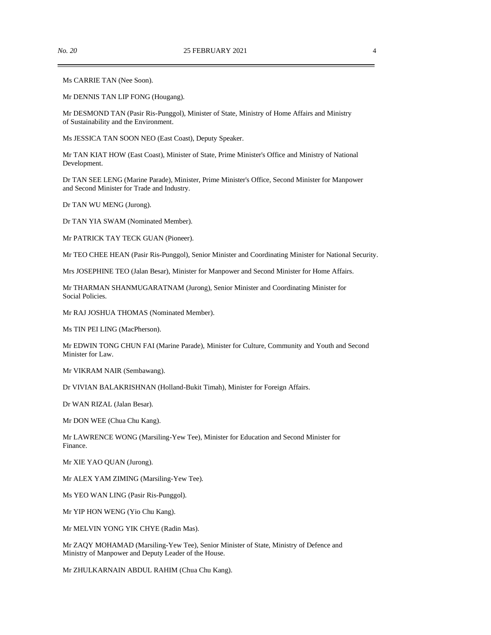Ms CARRIE TAN (Nee Soon).

Mr DENNIS TAN LIP FONG (Hougang).

Mr DESMOND TAN (Pasir Ris-Punggol), Minister of State, Ministry of Home Affairs and Ministry of Sustainability and the Environment.

Ms JESSICA TAN SOON NEO (East Coast), Deputy Speaker.

Mr TAN KIAT HOW (East Coast), Minister of State, Prime Minister's Office and Ministry of National Development.

Dr TAN SEE LENG (Marine Parade), Minister, Prime Minister's Office, Second Minister for Manpower and Second Minister for Trade and Industry.

Dr TAN WU MENG (Jurong).

Dr TAN YIA SWAM (Nominated Member).

Mr PATRICK TAY TECK GUAN (Pioneer).

Mr TEO CHEE HEAN (Pasir Ris-Punggol), Senior Minister and Coordinating Minister for National Security.

Mrs JOSEPHINE TEO (Jalan Besar), Minister for Manpower and Second Minister for Home Affairs.

Mr THARMAN SHANMUGARATNAM (Jurong), Senior Minister and Coordinating Minister for Social Policies.

Mr RAJ JOSHUA THOMAS (Nominated Member).

Ms TIN PEI LING (MacPherson).

Mr EDWIN TONG CHUN FAI (Marine Parade), Minister for Culture, Community and Youth and Second Minister for Law.

Mr VIKRAM NAIR (Sembawang).

Dr VIVIAN BALAKRISHNAN (Holland-Bukit Timah), Minister for Foreign Affairs.

Dr WAN RIZAL (Jalan Besar).

Mr DON WEE (Chua Chu Kang).

Mr LAWRENCE WONG (Marsiling-Yew Tee), Minister for Education and Second Minister for Finance.

Mr XIE YAO QUAN (Jurong).

Mr ALEX YAM ZIMING (Marsiling-Yew Tee).

Ms YEO WAN LING (Pasir Ris-Punggol).

Mr YIP HON WENG (Yio Chu Kang).

Mr MELVIN YONG YIK CHYE (Radin Mas).

Mr ZAQY MOHAMAD (Marsiling-Yew Tee), Senior Minister of State, Ministry of Defence and Ministry of Manpower and Deputy Leader of the House.

Mr ZHULKARNAIN ABDUL RAHIM (Chua Chu Kang).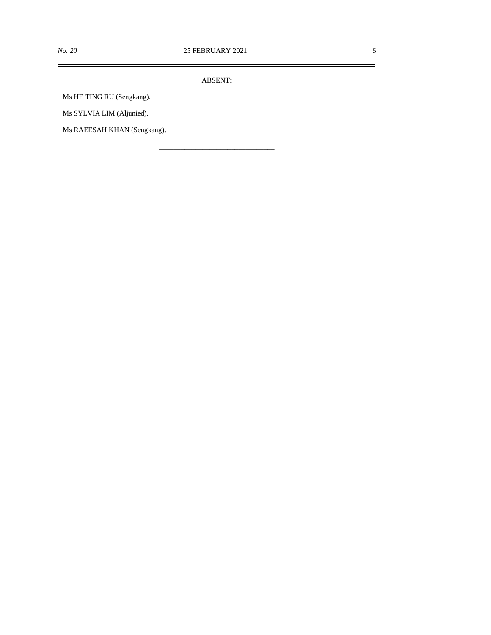ABSENT:

\_\_\_\_\_\_\_\_\_\_\_\_\_\_\_\_\_\_\_\_\_\_\_\_\_\_\_\_\_\_\_\_

Ms HE TING RU (Sengkang).

Ms SYLVIA LIM (Aljunied).

Ms RAEESAH KHAN (Sengkang).